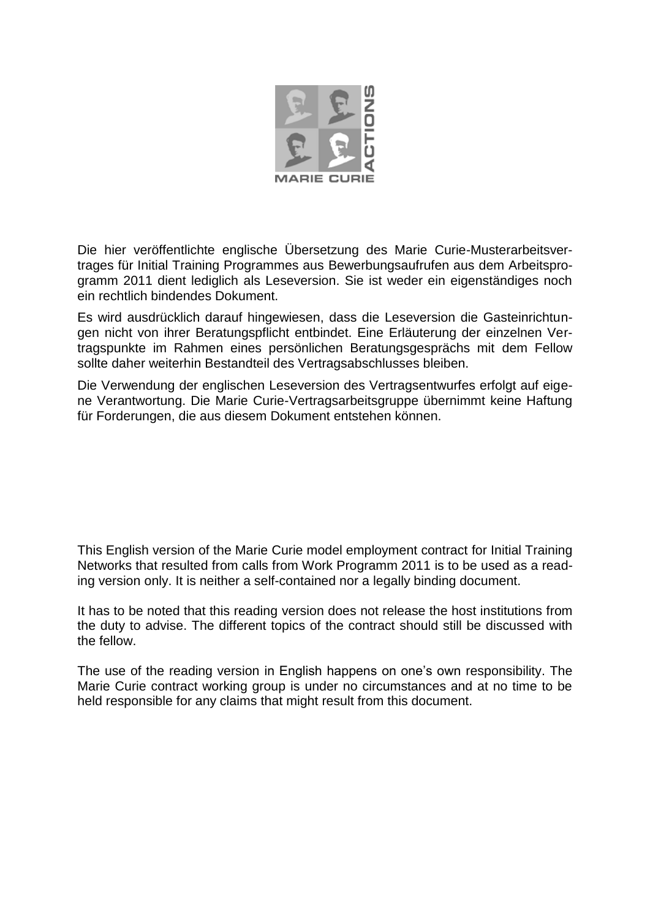

Die hier veröffentlichte englische Übersetzung des Marie Curie-Musterarbeitsvertrages für Initial Training Programmes aus Bewerbungsaufrufen aus dem Arbeitsprogramm 2011 dient lediglich als Leseversion. Sie ist weder ein eigenständiges noch ein rechtlich bindendes Dokument.

Es wird ausdrücklich darauf hingewiesen, dass die Leseversion die Gasteinrichtungen nicht von ihrer Beratungspflicht entbindet. Eine Erläuterung der einzelnen Vertragspunkte im Rahmen eines persönlichen Beratungsgesprächs mit dem Fellow sollte daher weiterhin Bestandteil des Vertragsabschlusses bleiben.

Die Verwendung der englischen Leseversion des Vertragsentwurfes erfolgt auf eigene Verantwortung. Die Marie Curie-Vertragsarbeitsgruppe übernimmt keine Haftung für Forderungen, die aus diesem Dokument entstehen können.

This English version of the Marie Curie model employment contract for Initial Training Networks that resulted from calls from Work Programm 2011 is to be used as a reading version only. It is neither a self-contained nor a legally binding document.

It has to be noted that this reading version does not release the host institutions from the duty to advise. The different topics of the contract should still be discussed with the fellow.

The use of the reading version in English happens on one's own responsibility. The Marie Curie contract working group is under no circumstances and at no time to be held responsible for any claims that might result from this document.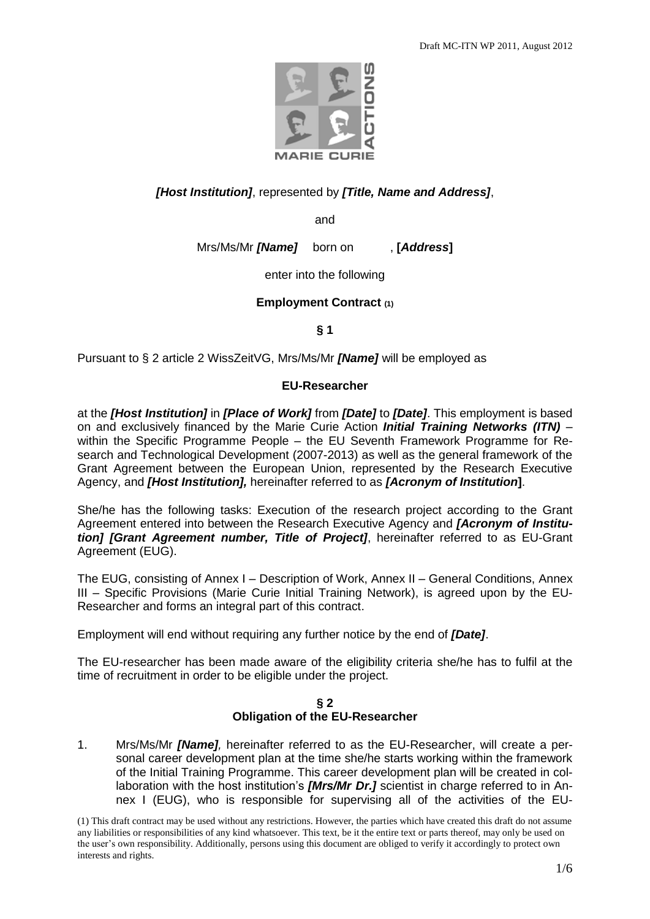

# *[Host Institution]*, represented by *[Title, Name and Address]*,

and

Mrs/Ms/Mr *[Name]* born on , **[***Address***]**

enter into the following

## **Employment Contract (1)**

**§ 1**

Pursuant to § 2 article 2 WissZeitVG, Mrs/Ms/Mr *[Name]* will be employed as

## **EU-Researcher**

at the *[Host Institution]* in *[Place of Work]* from *[Date]* to *[Date]*. This employment is based on and exclusively financed by the Marie Curie Action *Initial Training Networks (ITN)* – within the Specific Programme People – the EU Seventh Framework Programme for Research and Technological Development (2007-2013) as well as the general framework of the Grant Agreement between the European Union, represented by the Research Executive Agency, and *[Host Institution],* hereinafter referred to as *[Acronym of Institution***]**.

She/he has the following tasks: Execution of the research project according to the Grant Agreement entered into between the Research Executive Agency and *[Acronym of Institution] [Grant Agreement number, Title of Project]*, hereinafter referred to as EU-Grant Agreement (EUG).

The EUG, consisting of Annex I – Description of Work, Annex II – General Conditions, Annex III – Specific Provisions (Marie Curie Initial Training Network), is agreed upon by the EU-Researcher and forms an integral part of this contract.

Employment will end without requiring any further notice by the end of *[Date]*.

The EU-researcher has been made aware of the eligibility criteria she/he has to fulfil at the time of recruitment in order to be eligible under the project.

## **§ 2 Obligation of the EU-Researcher**

1. Mrs/Ms/Mr *[Name],* hereinafter referred to as the EU-Researcher, will create a personal career development plan at the time she/he starts working within the framework of the Initial Training Programme. This career development plan will be created in collaboration with the host institution's **[Mrs/Mr Dr.]** scientist in charge referred to in Annex I (EUG), who is responsible for supervising all of the activities of the EU-

(1) This draft contract may be used without any restrictions. However, the parties which have created this draft do not assume any liabilities or responsibilities of any kind whatsoever. This text, be it the entire text or parts thereof, may only be used on the user's own responsibility. Additionally, persons using this document are obliged to verify it accordingly to protect own interests and rights.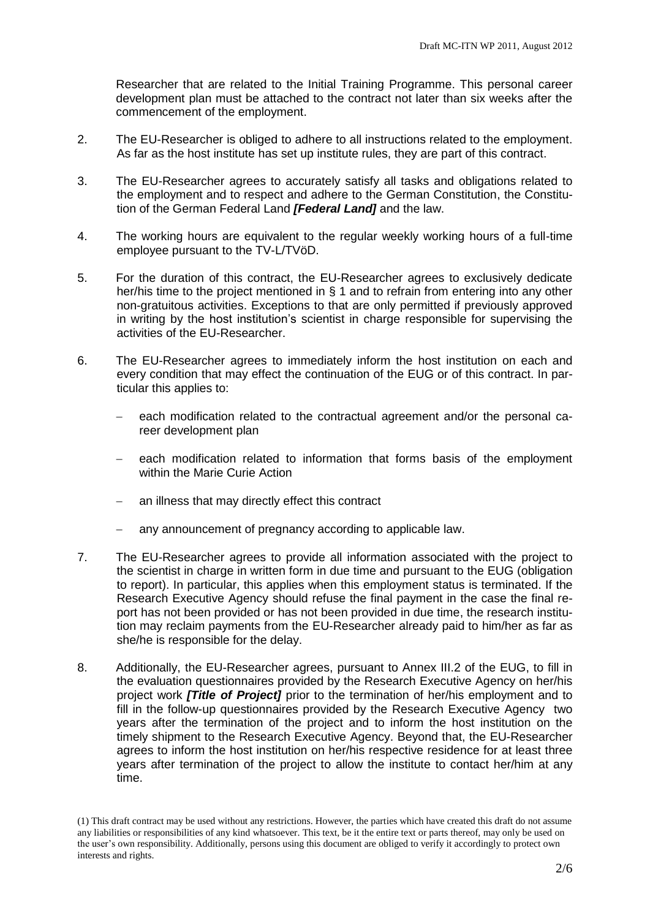Researcher that are related to the Initial Training Programme. This personal career development plan must be attached to the contract not later than six weeks after the commencement of the employment.

- 2. The EU-Researcher is obliged to adhere to all instructions related to the employment. As far as the host institute has set up institute rules, they are part of this contract.
- 3. The EU-Researcher agrees to accurately satisfy all tasks and obligations related to the employment and to respect and adhere to the German Constitution, the Constitution of the German Federal Land *[Federal Land]* and the law.
- 4. The working hours are equivalent to the regular weekly working hours of a full-time employee pursuant to the TV-L/TVöD.
- 5. For the duration of this contract, the EU-Researcher agrees to exclusively dedicate her/his time to the project mentioned in § 1 and to refrain from entering into any other non-gratuitous activities. Exceptions to that are only permitted if previously approved in writing by the host institution's scientist in charge responsible for supervising the activities of the EU-Researcher.
- 6. The EU-Researcher agrees to immediately inform the host institution on each and every condition that may effect the continuation of the EUG or of this contract. In particular this applies to:
	- each modification related to the contractual agreement and/or the personal career development plan
	- each modification related to information that forms basis of the employment within the Marie Curie Action
	- an illness that may directly effect this contract
	- any announcement of pregnancy according to applicable law.
- 7. The EU-Researcher agrees to provide all information associated with the project to the scientist in charge in written form in due time and pursuant to the EUG (obligation to report). In particular, this applies when this employment status is terminated. If the Research Executive Agency should refuse the final payment in the case the final report has not been provided or has not been provided in due time, the research institution may reclaim payments from the EU-Researcher already paid to him/her as far as she/he is responsible for the delay.
- 8. Additionally, the EU-Researcher agrees, pursuant to Annex III.2 of the EUG, to fill in the evaluation questionnaires provided by the Research Executive Agency on her/his project work *[Title of Project]* prior to the termination of her/his employment and to fill in the follow-up questionnaires provided by the Research Executive Agency two years after the termination of the project and to inform the host institution on the timely shipment to the Research Executive Agency. Beyond that, the EU-Researcher agrees to inform the host institution on her/his respective residence for at least three years after termination of the project to allow the institute to contact her/him at any time.

<sup>(1)</sup> This draft contract may be used without any restrictions. However, the parties which have created this draft do not assume any liabilities or responsibilities of any kind whatsoever. This text, be it the entire text or parts thereof, may only be used on the user's own responsibility. Additionally, persons using this document are obliged to verify it accordingly to protect own interests and rights.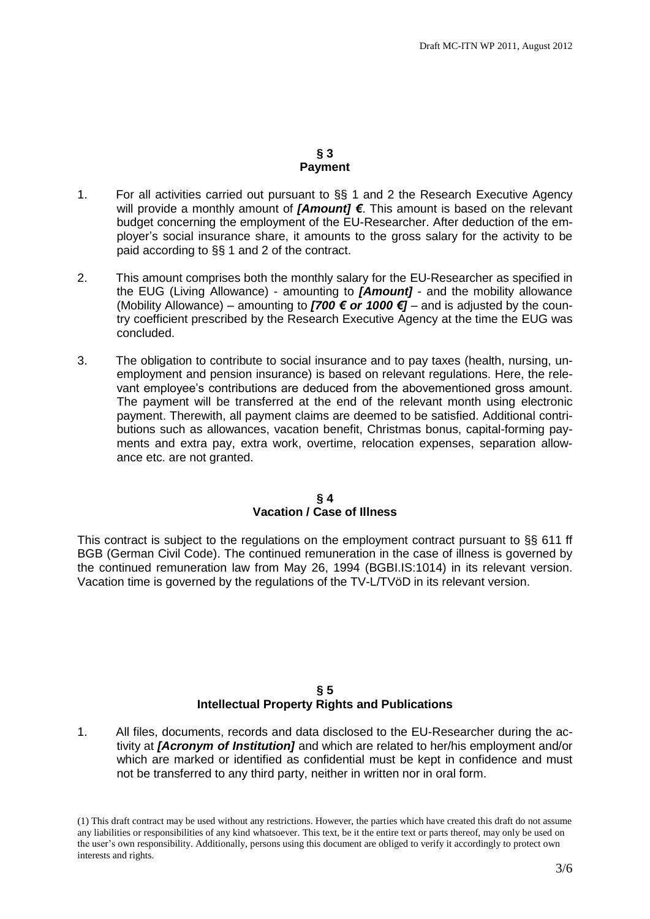### **§ 3 Payment**

- 1. For all activities carried out pursuant to §§ 1 and 2 the Research Executive Agency will provide a monthly amount of *[Amount] €*. This amount is based on the relevant budget concerning the employment of the EU-Researcher. After deduction of the employer's social insurance share, it amounts to the gross salary for the activity to be paid according to §§ 1 and 2 of the contract.
- 2. This amount comprises both the monthly salary for the EU-Researcher as specified in the EUG (Living Allowance) - amounting to *[Amount]* - and the mobility allowance (Mobility Allowance) – amounting to **[700**  $\epsilon$  **or 1000**  $\epsilon$ **]** – and is adjusted by the country coefficient prescribed by the Research Executive Agency at the time the EUG was concluded.
- 3. The obligation to contribute to social insurance and to pay taxes (health, nursing, unemployment and pension insurance) is based on relevant regulations. Here, the relevant employee's contributions are deduced from the abovementioned gross amount. The payment will be transferred at the end of the relevant month using electronic payment. Therewith, all payment claims are deemed to be satisfied. Additional contributions such as allowances, vacation benefit, Christmas bonus, capital-forming payments and extra pay, extra work, overtime, relocation expenses, separation allowance etc. are not granted.

### **§ 4 Vacation / Case of Illness**

This contract is subject to the regulations on the employment contract pursuant to §§ 611 ff BGB (German Civil Code). The continued remuneration in the case of illness is governed by the continued remuneration law from May 26, 1994 (BGBI.IS:1014) in its relevant version. Vacation time is governed by the regulations of the TV-L/TVöD in its relevant version.

## **§ 5 Intellectual Property Rights and Publications**

1. All files, documents, records and data disclosed to the EU-Researcher during the activity at *[Acronym of Institution]* and which are related to her/his employment and/or which are marked or identified as confidential must be kept in confidence and must not be transferred to any third party, neither in written nor in oral form.

(1) This draft contract may be used without any restrictions. However, the parties which have created this draft do not assume any liabilities or responsibilities of any kind whatsoever. This text, be it the entire text or parts thereof, may only be used on the user's own responsibility. Additionally, persons using this document are obliged to verify it accordingly to protect own interests and rights.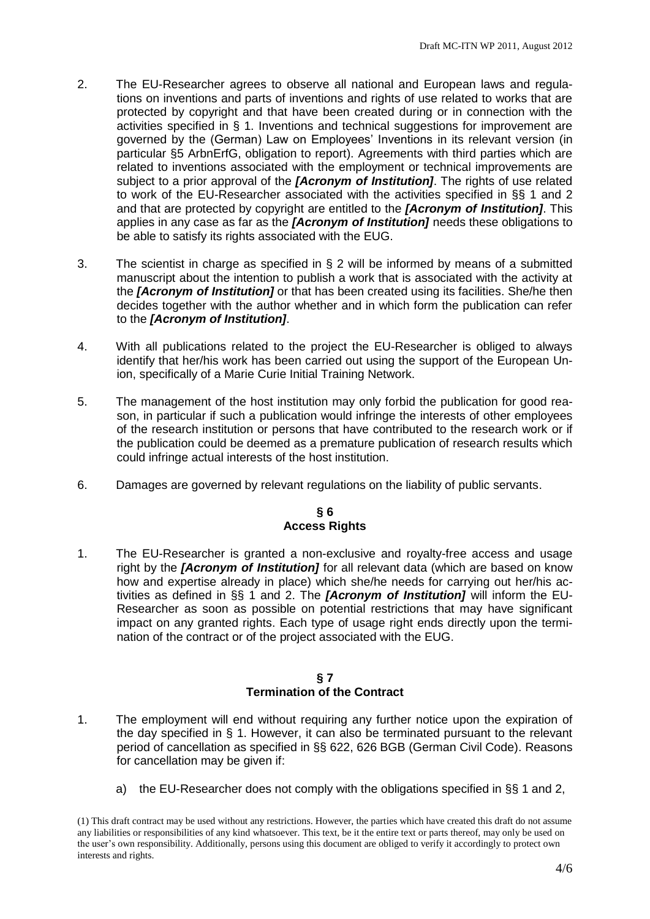- 2. The EU-Researcher agrees to observe all national and European laws and regulations on inventions and parts of inventions and rights of use related to works that are protected by copyright and that have been created during or in connection with the activities specified in § 1. Inventions and technical suggestions for improvement are governed by the (German) Law on Employees' Inventions in its relevant version (in particular §5 ArbnErfG, obligation to report). Agreements with third parties which are related to inventions associated with the employment or technical improvements are subject to a prior approval of the *[Acronym of Institution]*. The rights of use related to work of the EU-Researcher associated with the activities specified in §§ 1 and 2 and that are protected by copyright are entitled to the *[Acronym of Institution]*. This applies in any case as far as the *[Acronym of Institution]* needs these obligations to be able to satisfy its rights associated with the EUG.
- 3. The scientist in charge as specified in § 2 will be informed by means of a submitted manuscript about the intention to publish a work that is associated with the activity at the *[Acronym of Institution]* or that has been created using its facilities. She/he then decides together with the author whether and in which form the publication can refer to the *[Acronym of Institution]*.
- 4. With all publications related to the project the EU-Researcher is obliged to always identify that her/his work has been carried out using the support of the European Union, specifically of a Marie Curie Initial Training Network.
- 5. The management of the host institution may only forbid the publication for good reason, in particular if such a publication would infringe the interests of other employees of the research institution or persons that have contributed to the research work or if the publication could be deemed as a premature publication of research results which could infringe actual interests of the host institution.
- 6. Damages are governed by relevant regulations on the liability of public servants.

## **§ 6 Access Rights**

1. The EU-Researcher is granted a non-exclusive and royalty-free access and usage right by the *[Acronym of Institution]* for all relevant data (which are based on know how and expertise already in place) which she/he needs for carrying out her/his activities as defined in §§ 1 and 2. The *[Acronym of Institution]* will inform the EU-Researcher as soon as possible on potential restrictions that may have significant impact on any granted rights. Each type of usage right ends directly upon the termination of the contract or of the project associated with the EUG.

### **§ 7 Termination of the Contract**

- 1. The employment will end without requiring any further notice upon the expiration of the day specified in § 1. However, it can also be terminated pursuant to the relevant period of cancellation as specified in §§ 622, 626 BGB (German Civil Code). Reasons for cancellation may be given if:
	- a) the EU-Researcher does not comply with the obligations specified in §§ 1 and 2,

<sup>(1)</sup> This draft contract may be used without any restrictions. However, the parties which have created this draft do not assume any liabilities or responsibilities of any kind whatsoever. This text, be it the entire text or parts thereof, may only be used on the user's own responsibility. Additionally, persons using this document are obliged to verify it accordingly to protect own interests and rights.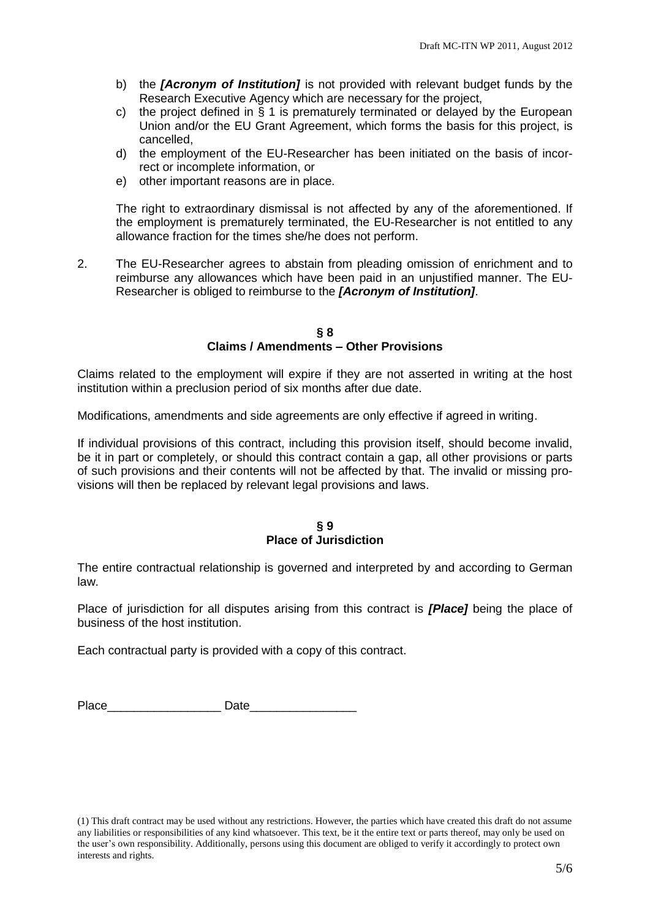- b) the *[Acronym of Institution]* is not provided with relevant budget funds by the Research Executive Agency which are necessary for the project,
- c) the project defined in § 1 is prematurely terminated or delayed by the European Union and/or the EU Grant Agreement, which forms the basis for this project, is cancelled,
- d) the employment of the EU-Researcher has been initiated on the basis of incorrect or incomplete information, or
- e) other important reasons are in place.

The right to extraordinary dismissal is not affected by any of the aforementioned. If the employment is prematurely terminated, the EU-Researcher is not entitled to any allowance fraction for the times she/he does not perform.

2. The EU-Researcher agrees to abstain from pleading omission of enrichment and to reimburse any allowances which have been paid in an unjustified manner. The EU-Researcher is obliged to reimburse to the *[Acronym of Institution]*.

#### **§ 8 Claims / Amendments – Other Provisions**

Claims related to the employment will expire if they are not asserted in writing at the host institution within a preclusion period of six months after due date.

Modifications, amendments and side agreements are only effective if agreed in writing.

If individual provisions of this contract, including this provision itself, should become invalid, be it in part or completely, or should this contract contain a gap, all other provisions or parts of such provisions and their contents will not be affected by that. The invalid or missing provisions will then be replaced by relevant legal provisions and laws.

#### **§ 9 Place of Jurisdiction**

The entire contractual relationship is governed and interpreted by and according to German law.

Place of jurisdiction for all disputes arising from this contract is *[Place]* being the place of business of the host institution.

Each contractual party is provided with a copy of this contract.

| Pla<br>$\sim$ |  |
|---------------|--|
|               |  |

(1) This draft contract may be used without any restrictions. However, the parties which have created this draft do not assume any liabilities or responsibilities of any kind whatsoever. This text, be it the entire text or parts thereof, may only be used on the user's own responsibility. Additionally, persons using this document are obliged to verify it accordingly to protect own interests and rights.